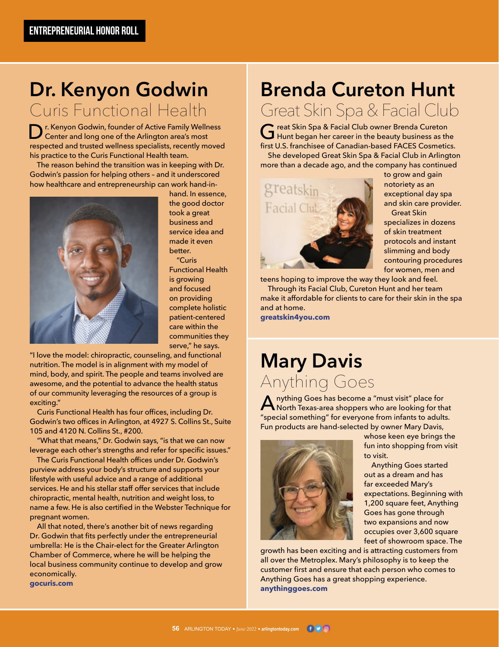#### **Dr. Kenyon Godwin** Curis Functional Health

Dr. Kenyon Godwin, founder of Active Family Wellness Center and long one of the Arlington area's most respected and trusted wellness specialists, recently moved his practice to the Curis Functional Health team.

 The reason behind the transition was in keeping with Dr. Godwin's passion for helping others – and it underscored how healthcare and entrepreneurship can work hand-in-



hand. In essence, the good doctor took a great business and service idea and made it even better. "Curis

Functional Health is growing and focused on providing complete holistic patient-centered care within the communities they serve," he says.

"I love the model: chiropractic, counseling, and functional nutrition. The model is in alignment with my model of mind, body, and spirit. The people and teams involved are awesome, and the potential to advance the health status of our community leveraging the resources of a group is exciting."

 Curis Functional Health has four offices, including Dr. Godwin's two offices in Arlington, at 4927 S. Collins St., Suite 105 and 4120 N. Collins St., #200.

 "What that means," Dr. Godwin says, "is that we can now leverage each other's strengths and refer for specific issues."

 The Curis Functional Health offices under Dr. Godwin's purview address your body's structure and supports your lifestyle with useful advice and a range of additional services. He and his stellar staff offer services that include chiropractic, mental health, nutrition and weight loss, to name a few. He is also certified in the Webster Technique for pregnant women.

 All that noted, there's another bit of news regarding Dr. Godwin that fits perfectly under the entrepreneurial umbrella: He is the Chair-elect for the Greater Arlington Chamber of Commerce, where he will be helping the local business community continue to develop and grow economically. **gocuris.com**

#### **Brenda Cureton Hunt** Great Skin Spa & Facial Club

Great Skin Spa & Facial Club owner Brenda Cureton<br>Hunt began her career in the beauty business as the first U.S. franchisee of Canadian-based FACES Cosmetics. She developed Great Skin Spa & Facial Club in Arlington

more than a decade ago, and the company has continued



to grow and gain notoriety as an exceptional day spa and skin care provider. Great Skin

specializes in dozens of skin treatment protocols and instant slimming and body contouring procedures for women, men and

teens hoping to improve the way they look and feel. Through its Facial Club, Cureton Hunt and her team make it affordable for clients to care for their skin in the spa and at home.

**greatskin4you.com**

## **Mary Davis** Anything Goes

**A** nything Goes has become a "must visit" place for<br>North Texas-area shoppers who are looking for that "special something" for everyone from infants to adults. Fun products are hand-selected by owner Mary Davis,



whose keen eye brings the fun into shopping from visit to visit.

 Anything Goes started out as a dream and has far exceeded Mary's expectations. Beginning with 1,200 square feet, Anything Goes has gone through two expansions and now occupies over 3,600 square feet of showroom space. The

growth has been exciting and is attracting customers from all over the Metroplex. Mary's philosophy is to keep the customer first and ensure that each person who comes to Anything Goes has a great shopping experience. **anythinggoes.com**

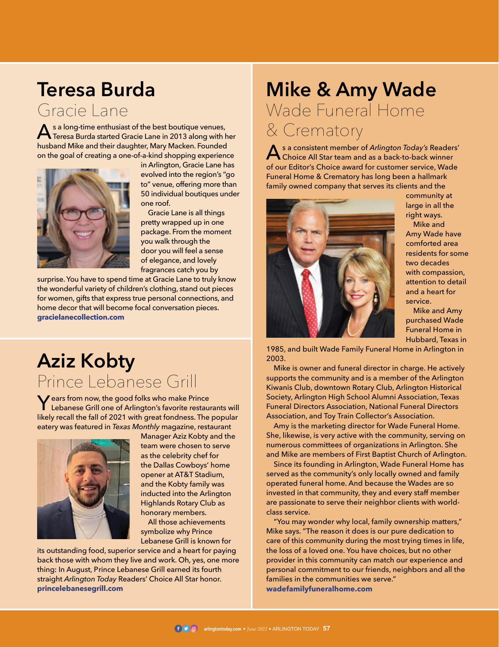# **Teresa Burda**

Gracie Lane

As a long-time enthusiast of the best boutique venues,<br>Teresa Burda started Gracie Lane in 2013 along with her husband Mike and their daughter, Mary Macken. Founded on the goal of creating a one-of-a-kind shopping experience



in Arlington, Gracie Lane has evolved into the region's "go to" venue, offering more than 50 individual boutiques under one roof.

 Gracie Lane is all things pretty wrapped up in one package. From the moment you walk through the door you will feel a sense of elegance, and lovely fragrances catch you by

surprise. You have to spend time at Gracie Lane to truly know the wonderful variety of children's clothing, stand out pieces for women, gifts that express true personal connections, and home decor that will become focal conversation pieces. **gracielanecollection.com**

# **Aziz Kobty** Prince Lebanese Grill

**Y** ears from now, the good folks who make Prince<br>Lebanese Grill one of Arlington's favorite restaurants will likely recall the fall of 2021 with great fondness. The popular eatery was featured in *Texas Monthly* magazine, restaurant



Manager Aziz Kobty and the team were chosen to serve as the celebrity chef for the Dallas Cowboys' home opener at AT&T Stadium, and the Kobty family was inducted into the Arlington Highlands Rotary Club as honorary members.

 All those achievements symbolize why Prince Lebanese Grill is known for

its outstanding food, superior service and a heart for paying back those with whom they live and work. Oh, yes, one more thing: In August, Prince Lebanese Grill earned its fourth straight *Arlington Today* Readers' Choice All Star honor. **princelebanesegrill.com**

## **Mike & Amy Wade** Wade Funeral Home & Crematory

**A** s a consistent member of *Arlington Today's* Readers'<br>Choice All Star team and as a back-to-back winner of our Editor's Choice award for customer service, Wade Funeral Home & Crematory has long been a hallmark family owned company that serves its clients and the



community at large in all the right ways.

 Mike and Amy Wade have comforted area residents for some two decades with compassion, attention to detail and a heart for service.

 Mike and Amy purchased Wade Funeral Home in Hubbard, Texas in

1985, and built Wade Family Funeral Home in Arlington in 2003.

 Mike is owner and funeral director in charge. He actively supports the community and is a member of the Arlington Kiwanis Club, downtown Rotary Club, Arlington Historical Society, Arlington High School Alumni Association, Texas Funeral Directors Association, National Funeral Directors Association, and Toy Train Collector's Association.

 Amy is the marketing director for Wade Funeral Home. She, likewise, is very active with the community, serving on numerous committees of organizations in Arlington. She and Mike are members of First Baptist Church of Arlington.

 Since its founding in Arlington, Wade Funeral Home has served as the community's only locally owned and family operated funeral home. And because the Wades are so invested in that community, they and every staff member are passionate to serve their neighbor clients with worldclass service.

 "You may wonder why local, family ownership matters," Mike says. "The reason it does is our pure dedication to care of this community during the most trying times in life, the loss of a loved one. You have choices, but no other provider in this community can match our experience and personal commitment to our friends, neighbors and all the families in the communities we serve." **wadefamilyfuneralhome.com**